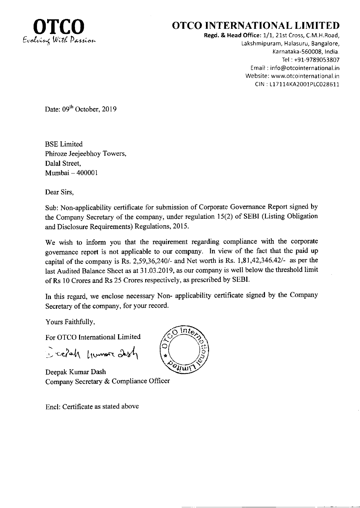

## OTCO INTERNATIONAL LIMITED

Regd. & Head Office: 1/1, 21st Cross, C.M.H.Road, Lakshmipuram, Halasuru, Bangalore, Karnataka-560008, India. Tel :+91-9789053807 Email : info@otcointernational.in Website: www.otcointernational.in CIN : 1171 14KA2001P1C028611

Date: 09<sup>th</sup> October, 2019

BSE Limited Phiroze Jeejeebhoy Towers, Dalal Street, Mumbai - <sup>400001</sup>

Dear Sirs,

Sub: Non-applicability certificate for submission of Corporate Governance Report signed by the Company Secretary of the company, under regulation 15(2) of SEBI (Listing Obligation and Disclosure Requirements) Regulations, 2015.

We wish to inform you that the requirement regarding compliance with the corporate govemance report is not applicable to our company. In view of the fact that the paid up capital of the company is Rs. 2,59,36,240/- and Net worth is Rs.  $1,81,42,346.42/$ - as per the last Audited Balance Sheet as at 31.03.2019, as our company is well below the threshold limit of Rs 10 Crores and Rs 25 Crores respectively, as prescribed by SEBI.

In this regard, we enclose necessary Non- applicability certificate signed by the Company Secretary of the company, for your record.

Yours Faithfully,

For OTCO Intemational Limited

 $\ge$  celah from ash

Deepak Kumar Dash Company Secretary & Compliance Officer

Encl: Certificate as stated above